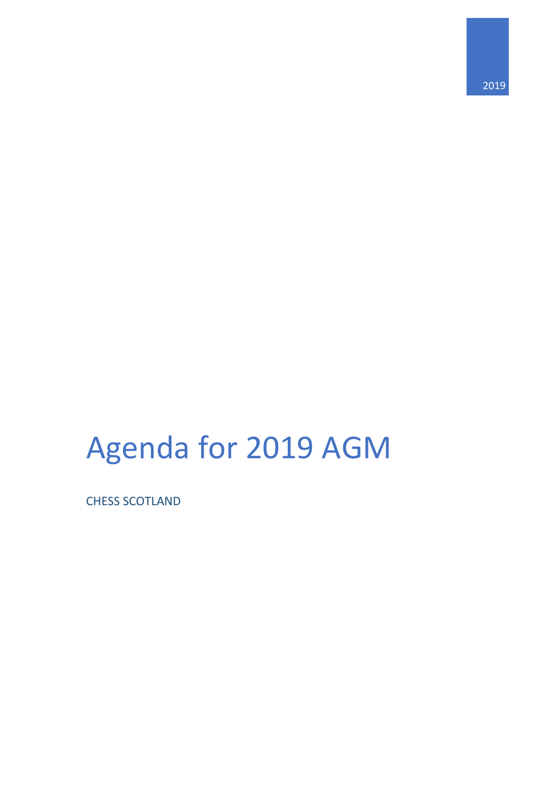2019

# Agenda for 2019 AGM

CHESS SCOTLAND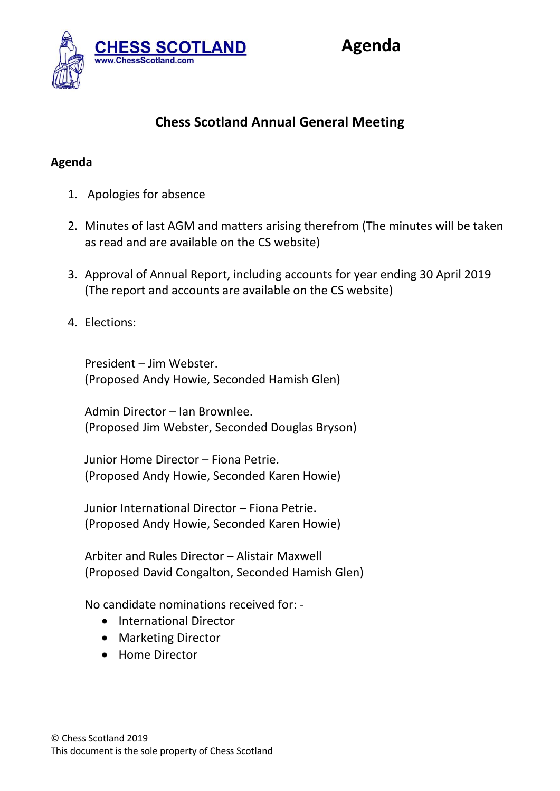

## **Chess Scotland Annual General Meeting**

#### **Agenda**

- 1. Apologies for absence
- 2. Minutes of last AGM and matters arising therefrom (The minutes will be taken as read and are available on the CS website)
- 3. Approval of Annual Report, including accounts for year ending 30 April 2019 (The report and accounts are available on the CS website)
- 4. Elections:

President – Jim Webster. (Proposed Andy Howie, Seconded Hamish Glen)

Admin Director – Ian Brownlee. (Proposed Jim Webster, Seconded Douglas Bryson)

Junior Home Director – Fiona Petrie. (Proposed Andy Howie, Seconded Karen Howie)

Junior International Director – Fiona Petrie. (Proposed Andy Howie, Seconded Karen Howie)

Arbiter and Rules Director – Alistair Maxwell (Proposed David Congalton, Seconded Hamish Glen)

No candidate nominations received for: -

- International Director
- Marketing Director
- Home Director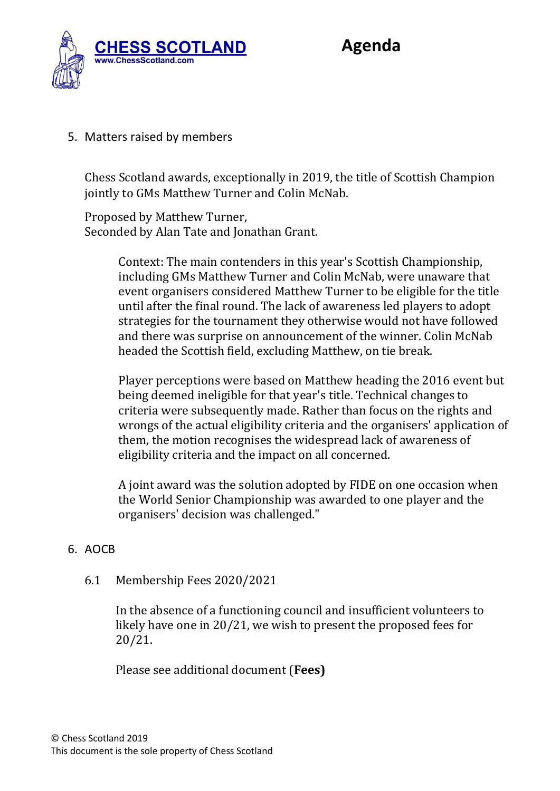

5. Matters raised by members

Chess Scotland awards, exceptionally in 2019, the title of Scottish Champion jointly to GMs Matthew Turner and Colin McNab.

Proposed by Matthew Turner, Seconded by Alan Tate and Jonathan Grant.

> Context: The main contenders in this year's Scottish Championship, including GMs Matthew Turner and Colin McNab, were unaware that event organisers considered Matthew Turner to be eligible for the title until after the final round. The lack of awareness led players to adopt strategies for the tournament they otherwise would not have followed and there was surprise on announcement of the winner. Colin McNab headed the Scottish field, excluding Matthew, on tie break.

Player perceptions were based on Matthew heading the 2016 event but being deemed ineligible for that year's title. Technical changes to criteria were subsequently made. Rather than focus on the rights and wrongs of the actual eligibility criteria and the organisers' application of them, the motion recognises the widespread lack of awareness of eligibility criteria and the impact on all concerned.

A joint award was the solution adopted by FIDE on one occasion when the World Senior Championship was awarded to one player and the organisers' decision was challenged."

### 6. AOCB

6.1 Membership Fees 2020/2021

In the absence of a functioning council and insufficient volunteers to likely have one in 20/21, we wish to present the proposed fees for 20/21.

Please see additional document (**Fees)**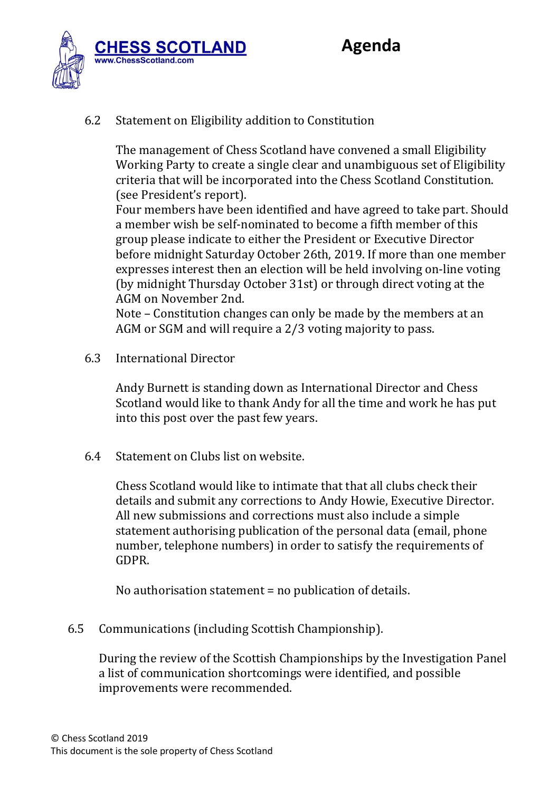

#### 6.2 Statement on Eligibility addition to Constitution

The management of Chess Scotland have convened a small Eligibility Working Party to create a single clear and unambiguous set of Eligibility criteria that will be incorporated into the Chess Scotland Constitution. (see President's report).

Four members have been identified and have agreed to take part. Should a member wish be self-nominated to become a fifth member of this group please indicate to either the President or Executive Director before midnight Saturday October 26th, 2019. If more than one member expresses interest then an election will be held involving on-line voting (by midnight Thursday October 31st) or through direct voting at the AGM on November 2nd.

Note – Constitution changes can only be made by the members at an AGM or SGM and will require a 2/3 voting majority to pass.

6.3 International Director

Andy Burnett is standing down as International Director and Chess Scotland would like to thank Andy for all the time and work he has put into this post over the past few years.

6.4 Statement on Clubs list on website.

Chess Scotland would like to intimate that that all clubs check their details and submit any corrections to Andy Howie, Executive Director. All new submissions and corrections must also include a simple statement authorising publication of the personal data (email, phone number, telephone numbers) in order to satisfy the requirements of GDPR.

No authorisation statement = no publication of details.

6.5 Communications (including Scottish Championship).

During the review of the Scottish Championships by the Investigation Panel a list of communication shortcomings were identified, and possible improvements were recommended.